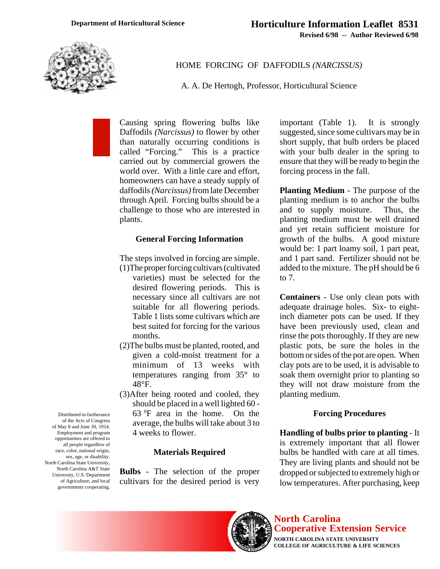

HOME FORCING OF DAFFODILS *(NARCISSUS)*

A. A. De Hertogh, Professor, Horticultural Science

Causing spring flowering bulbs like Daffodils *(Narcissus)* to flower by other than naturally occurring conditions is called "Forcing." This is a practice carried out by commercial growers the world over. With a little care and effort, homeowners can have a steady supply of daffodils *(Narcissus)* from late December through April. Forcing bulbs should be a challenge to those who are interested in plants.

## **General Forcing Information**

The steps involved in forcing are simple. (1)The proper forcing cultivars (cultivated

- varieties) must be selected for the desired flowering periods. This is necessary since all cultivars are not suitable for all flowering periods. Table 1 lists some cultivars which are best suited for forcing for the various months.
- (2)The bulbs must be planted, rooted, and given a cold-moist treatment for a minimum of 13 weeks with temperatures ranging from 35° to 48°F.
- (3)After being rooted and cooled, they should be placed in a well lighted 60 - 63 0F area in the home. On the average, the bulbs will take about 3 to 4 weeks to flower.

### **Materials Required**

**Bulbs** - The selection of the proper cultivars for the desired period is very important (Table 1). It is strongly suggested, since some cultivars may be in short supply, that bulb orders be placed with your bulb dealer in the spring to ensure that they will be ready to begin the forcing process in the fall.

**Planting Medium** - The purpose of the planting medium is to anchor the bulbs and to supply moisture. Thus, the planting medium must be well drained and yet retain sufficient moisture for growth of the bulbs. A good mixture would be: 1 part loamy soil, 1 part peat, and 1 part sand. Fertilizer should not be added to the mixture. The pH should be 6 to 7.

**Containers** - Use only clean pots with adequate drainage holes. Six- to eightinch diameter pots can be used. If they have been previously used, clean and rinse the pots thoroughly. If they are new plastic pots, be sure the holes in the bottom or sides of the pot are open. When clay pots are to be used, it is advisable to soak them overnight prior to planting so they will not draw moisture from the planting medium.

## **Forcing Procedures**

**Handling of bulbs prior to planting** - It is extremely important that all flower bulbs be handled with care at all times. They are living plants and should not be dropped or subjected to extremely high or low temperatures. After purchasing, keep



# **North Carolina Cooperative Extension Service**

**NORTH CAROLINA STATE UNIVERSITY COLLEGE OF AGRICULTURE & LIFE SCIENCES**

Distributed in furtherance of the Acts of Congress of May 8 and June 30, 1914. Employment and program opportunities are offered to all people regardless of race, color, national origin, sex, age, or disability. North Carolina State University, North Carolina A&T State University, U.S. Department of Agriculture, and local governments cooperating.